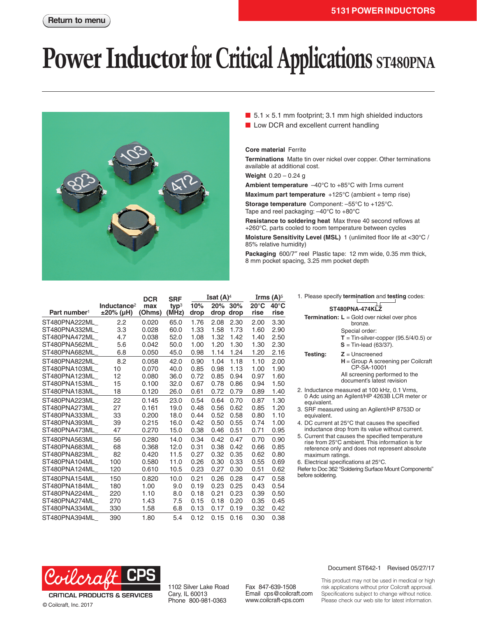# **Power Inductor for Critical Applications** ST480PNA



 $\blacksquare$  5.1 × 5.1 mm footprint; 3.1 mm high shielded inductors

■ Low DCR and excellent current handling

### **Core material** Ferrite

**Terminations** Matte tin over nickel over copper. Other terminations available at additional cost.

**Weight** 0.20 – 0.24 g

**Ambient temperature** –40°C to +85°C with Irms current

**Maximum part temperature** +125°C (ambient + temp rise) **Storage temperature** Component: –55°C to +125°C. Tape and reel packaging: –40°C to +80°C

**Resistance to soldering heat** Max three 40 second reflows at +260°C, parts cooled to room temperature between cycles

**Moisture Sensitivity Level (MSL)** 1 (unlimited floor life at <30°C / 85% relative humidity)

**Packaging** 600/7″ reel Plastic tape: 12 mm wide, 0.35 mm thick, 8 mm pocket spacing, 3.25 mm pocket depth

|                          |                                      | <b>DCR</b>          | <b>SRF</b>                | Isat $(A)^4$ |             |             | Irms $(A)^5$           |                        |
|--------------------------|--------------------------------------|---------------------|---------------------------|--------------|-------------|-------------|------------------------|------------------------|
| Part number <sup>1</sup> | Inductance <sup>2</sup><br>±20% (µH) | max<br><b>Ohms)</b> | two <sup>3</sup><br>(MHz) | 10%<br>drop  | 20%<br>drop | 30%<br>drop | $20^{\circ}$ C<br>rise | $40^{\circ}$ C<br>rise |
| ST480PNA222ML            | 2.2                                  | 0.020               | 65.0                      | 1.76         | 2.08        | 2.30        | 2.00                   | 3.30                   |
| ST480PNA332ML            | 3.3                                  | 0.028               | 60.0                      | 1.33         | 1.58        | 1.73        | 1.60                   | 2.90                   |
| ST480PNA472ML            | 4.7                                  | 0.038               | 52.0                      | 1.08         | 1.32        | 1.42        | 1.40                   | 2.50                   |
| ST480PNA562ML            | 5.6                                  | 0.042               | 50.0                      | 1.00         | 1.20        | 1.30        | 1.30                   | 2.30                   |
| ST480PNA682ML            | 6.8                                  | 0.050               | 45.0                      | 0.98         | 1.14        | 1.24        | 1.20                   | 2.16                   |
| ST480PNA822ML            | 8.2                                  | 0.058               | 42.0                      | 0.90         | 1.04        | 1.18        | 1.10                   | 2.00                   |
| ST480PNA103ML            | 10                                   | 0.070               | 40.0                      | 0.85         | 0.98        | 1.13        | 1.00                   | 1.90                   |
| ST480PNA123ML            | 12                                   | 0.080               | 36.0                      | 0.72         | 0.85        | 0.94        | 0.97                   | 1.60                   |
| ST480PNA153ML            | 15                                   | 0.100               | 32.0                      | 0.67         | 0.78        | 0.86        | 0.94                   | 1.50                   |
| ST480PNA183ML            | 18                                   | 0.120               | 26.0                      | 0.61         | 0.72        | 0.79        | 0.89                   | 1.40                   |
| ST480PNA223ML            | 22                                   | 0.145               | 23.0                      | 0.54         | 0.64        | 0.70        | 0.87                   | 1.30                   |
| ST480PNA273ML            | 27                                   | 0.161               | 19.0                      | 0.48         | 0.56        | 0.62        | 0.85                   | 1.20                   |
| ST480PNA333ML            | 33                                   | 0.200               | 18.0                      | 0.44         | 0.52        | 0.58        | 0.80                   | 1.10                   |
| ST480PNA393ML            | 39                                   | 0.215               | 16.0                      | 0.42         | 0.50        | 0.55        | 0.74                   | 1.00                   |
| ST480PNA473ML            | 47                                   | 0.270               | 15.0                      | 0.38         | 0.46        | 0.51        | 0.71                   | 0.95                   |
| ST480PNA563ML            | 56                                   | 0.280               | 14.0                      | 0.34         | 0.42        | 0.47        | 0.70                   | 0.90                   |
| ST480PNA683ML            | 68                                   | 0.368               | 12.0                      | 0.31         | 0.38        | 0.42        | 0.66                   | 0.85                   |
| ST480PNA823ML            | 82                                   | 0.420               | 11.5                      | 0.27         | 0.32        | 0.35        | 0.62                   | 0.80                   |
| ST480PNA104ML            | 100                                  | 0.580               | 11.0                      | 0.26         | 0.30        | 0.33        | 0.55                   | 0.69                   |
| ST480PNA124ML            | 120                                  | 0.610               | 10.5                      | 0.23         | 0.27        | 0.30        | 0.51                   | 0.62                   |
| ST480PNA154ML            | 150                                  | 0.820               | 10.0                      | 0.21         | 0.26        | 0.28        | 0.47                   | 0.58                   |
| ST480PNA184ML            | 180                                  | 1.00                | 9.0                       | 0.19         | 0.23        | 0.25        | 0.43                   | 0.54                   |
| ST480PNA224ML            | 220                                  | 1.10                | 8.0                       | 0.18         | 0.21        | 0.23        | 0.39                   | 0.50                   |
| ST480PNA274ML            | 270                                  | 1.43                | 7.5                       | 0.15         | 0.18        | 0.20        | 0.35                   | 0.45                   |
| ST480PNA334ML            | 330                                  | 1.58                | 6.8                       | 0.13         | 0.17        | 0.19        | 0.32                   | 0.42                   |
| ST480PNA394ML            | 390                                  | 1.80                | 5.4                       | 0.12         | 0.15        | 0.16        | 0.30                   | 0.38                   |

|                                                                                                                                                       | 1. Please specify <b>termination</b> and <b>testing</b> codes:                                                                                          |  |  |  |  |  |  |  |
|-------------------------------------------------------------------------------------------------------------------------------------------------------|---------------------------------------------------------------------------------------------------------------------------------------------------------|--|--|--|--|--|--|--|
| ST480PNA-474KLZ                                                                                                                                       |                                                                                                                                                         |  |  |  |  |  |  |  |
|                                                                                                                                                       | <b>Termination:</b> $L =$ Gold over nickel over phos<br>hronze.<br>Special order:<br>$T =$ Tin-silver-copper (95.5/4/0.5) or<br>$S =$ Tin-lead (63/37). |  |  |  |  |  |  |  |
| Testing:                                                                                                                                              | $Z =$ Unscreened<br>$H =$ Group A screening per Coilcraft<br>CP-SA-10001<br>All screening performed to the<br>document's latest revision                |  |  |  |  |  |  |  |
| 2. Inductance measured at 100 kHz, 0.1 Vrms,<br>0 Adc using an Agilent/HP 4263B LCR meter or<br>equivalent.                                           |                                                                                                                                                         |  |  |  |  |  |  |  |
| 3. SRF measured using an Agilent/HP 8753D or<br>equivalent.                                                                                           |                                                                                                                                                         |  |  |  |  |  |  |  |
| 4. DC current at 25 $^{\circ}$ C that causes the specified<br>inductance drop from its value without current.                                         |                                                                                                                                                         |  |  |  |  |  |  |  |
| 5. Current that causes the specified temperature<br>rise from 25°C ambient. This information is for<br>raforance only and does not represent absolute |                                                                                                                                                         |  |  |  |  |  |  |  |

- <sub>l</sub>es not represent absolute maximum ratings.
- 6. Electrical specifications at 25°C.
- Refer to Doc 362 "Soldering Surface Mount Components" before soldering.



**CRITICAL PRODUCTS & SERVICES** © Coilcraft, Inc. 2017

1102 Silver Lake Road Cary, IL 60013 Phone 800-981-0363

Fax 847-639-1508 Email cps@coilcraft.com www.coilcraft-cps.com

#### Document ST642-1 Revised 05/27/17

This product may not be used in medical or high risk applications without prior Coilcraft approval. Specifications subject to change without notice. Please check our web site for latest information.